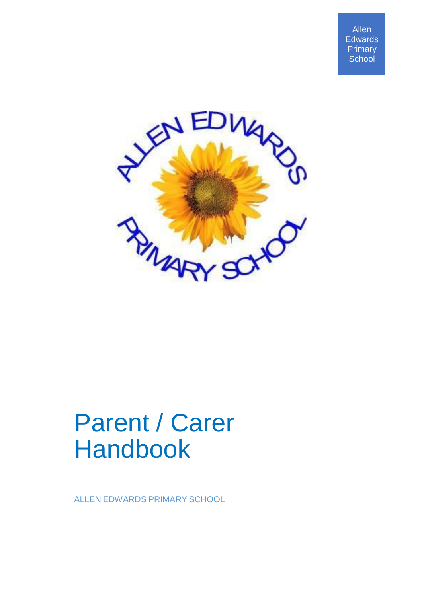Allen **Edwards** Primary **School** 



# Parent / Carer Handbook

ALLEN EDWARDS PRIMARY SCHOOL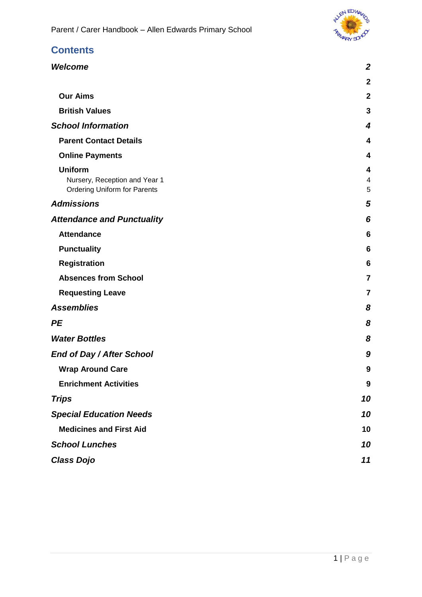

### **Contents**

| <b>Welcome</b>                                                                         | $\boldsymbol{2}$ |
|----------------------------------------------------------------------------------------|------------------|
|                                                                                        | $\mathbf{2}$     |
| <b>Our Aims</b>                                                                        | $\mathbf{2}$     |
| <b>British Values</b>                                                                  | 3                |
| <b>School Information</b>                                                              | 4                |
| <b>Parent Contact Details</b>                                                          | 4                |
| <b>Online Payments</b>                                                                 | 4                |
| <b>Uniform</b><br>Nursery, Reception and Year 1<br><b>Ordering Uniform for Parents</b> | 4<br>4<br>5      |
| <b>Admissions</b>                                                                      | 5                |
| <b>Attendance and Punctuality</b>                                                      | 6                |
| <b>Attendance</b>                                                                      | 6                |
| <b>Punctuality</b>                                                                     | $6\phantom{1}6$  |
| <b>Registration</b>                                                                    | 6                |
| <b>Absences from School</b>                                                            | $\overline{7}$   |
| <b>Requesting Leave</b>                                                                | $\overline{7}$   |
| <b>Assemblies</b>                                                                      | 8                |
| РE                                                                                     | 8                |
| <b>Water Bottles</b>                                                                   | 8                |
| End of Day / After School                                                              | 9                |
| <b>Wrap Around Care</b>                                                                | 9                |
| <b>Enrichment Activities</b>                                                           | 9                |
| <b>Trips</b>                                                                           | 10               |
| <b>Special Education Needs</b>                                                         | 10               |
| <b>Medicines and First Aid</b>                                                         | 10               |
| <b>School Lunches</b>                                                                  | 10               |
| <b>Class Dojo</b>                                                                      | 11               |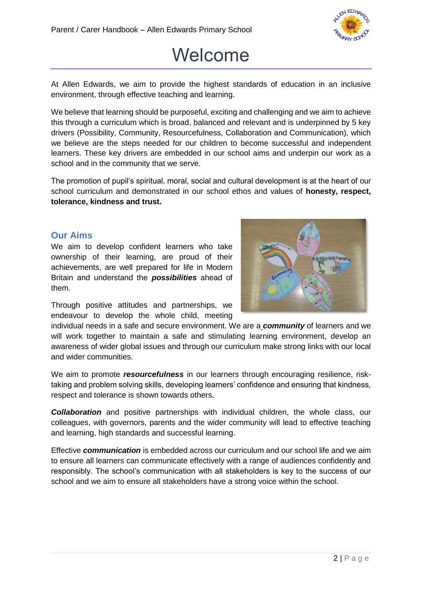

### Welcome

<span id="page-2-1"></span><span id="page-2-0"></span>At Allen Edwards, we aim to provide the highest standards of education in an inclusive environment, through effective teaching and learning.

We believe that learning should be purposeful, exciting and challenging and we aim to achieve this through a curriculum which is broad, balanced and relevant and is underpinned by 5 key drivers (Possibility, Community, Resourcefulness, Collaboration and Communication), which we believe are the steps needed for our children to become successful and independent learners. These key drivers are embedded in our school aims and underpin our work as a school and in the community that we serve.

The promotion of pupil's spiritual, moral, social and cultural development is at the heart of our school curriculum and demonstrated in our school ethos and values of **honesty, respect, tolerance, kindness and trust.**

#### <span id="page-2-2"></span>**Our Aims**

We aim to develop confident learners who take ownership of their learning, are proud of their achievements, are well prepared for life in Modern Britain and understand the *possibilities* ahead of them.



Through positive attitudes and partnerships, we endeavour to develop the whole child, meeting

individual needs in a safe and secure environment. We are a *community* of learners and we will work together to maintain a safe and stimulating learning environment, develop an awareness of wider global issues and through our curriculum make strong links with our local and wider communities.

We aim to promote *resourcefulness* in our learners through encouraging resilience, risktaking and problem solving skills, developing learners' confidence and ensuring that kindness, respect and tolerance is shown towards others.

*Collaboration* and positive partnerships with individual children, the whole class, our colleagues, with governors, parents and the wider community will lead to effective teaching and learning, high standards and successful learning.

Effective *communication* is embedded across our curriculum and our school life and we aim to ensure all learners can communicate effectively with a range of audiences confidently and responsibly. The school's communication with all stakeholders is key to the success of our school and we aim to ensure all stakeholders have a strong voice within the school.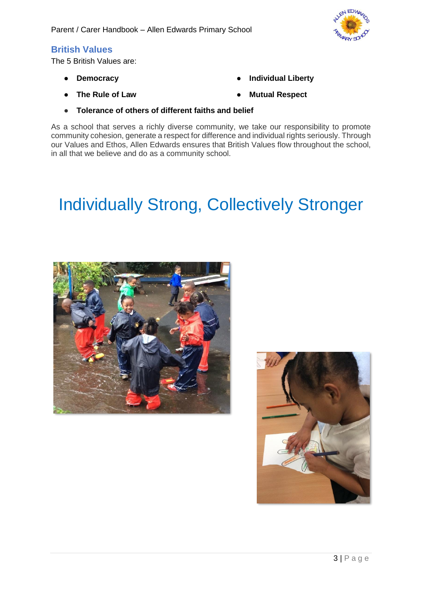

#### <span id="page-3-0"></span>**British Values**

The 5 British Values are:

● **Democracy**

**Individual Liberty** 

● **The Rule of Law** 

- **Mutual Respect**
- **Tolerance of others of different faiths and belief**

As a school that serves a richly diverse community, we take our responsibility to promote community cohesion, generate a respect for difference and individual rights seriously. Through our Values and Ethos, Allen Edwards ensures that British Values flow throughout the school, in all that we believe and do as a community school.

### Individually Strong, Collectively Stronger



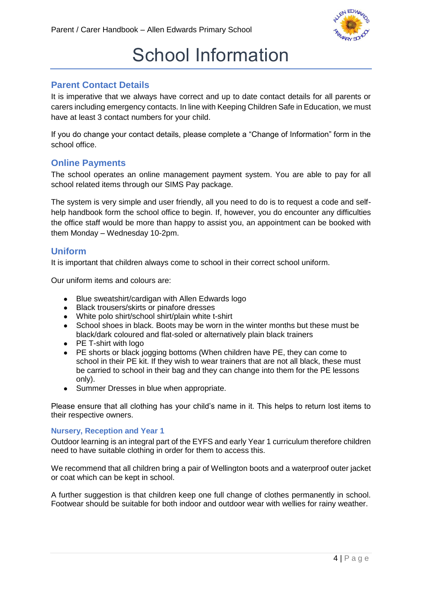

### School Information

#### <span id="page-4-1"></span><span id="page-4-0"></span>**Parent Contact Details**

It is imperative that we always have correct and up to date contact details for all parents or carers including emergency contacts. In line with Keeping Children Safe in Education, we must have at least 3 contact numbers for your child.

If you do change your contact details, please complete a "Change of Information" form in the school office.

#### <span id="page-4-2"></span>**Online Payments**

The school operates an online management payment system. You are able to pay for all school related items through our SIMS Pay package.

The system is very simple and user friendly, all you need to do is to request a code and selfhelp handbook form the school office to begin. If, however, you do encounter any difficulties the office staff would be more than happy to assist you, an appointment can be booked with them Monday – Wednesday 10-2pm.

#### <span id="page-4-3"></span>**Uniform**

It is important that children always come to school in their correct school uniform.

Our uniform items and colours are:

- Blue sweatshirt/cardigan with Allen Edwards logo
- Black trousers/skirts or pinafore dresses
- White polo shirt/school shirt/plain white t-shirt
- School shoes in black. Boots may be worn in the winter months but these must be black/dark coloured and flat-soled or alternatively plain black trainers
- PE T-shirt with logo
- PE shorts or black jogging bottoms (When children have PE, they can come to school in their PE kit. If they wish to wear trainers that are not all black, these must be carried to school in their bag and they can change into them for the PE lessons only).
- Summer Dresses in blue when appropriate.

Please ensure that all clothing has your child's name in it. This helps to return lost items to their respective owners.

#### <span id="page-4-4"></span>**Nursery, Reception and Year 1**

Outdoor learning is an integral part of the EYFS and early Year 1 curriculum therefore children need to have suitable clothing in order for them to access this.

We recommend that all children bring a pair of Wellington boots and a waterproof outer jacket or coat which can be kept in school.

A further suggestion is that children keep one full change of clothes permanently in school. Footwear should be suitable for both indoor and outdoor wear with wellies for rainy weather.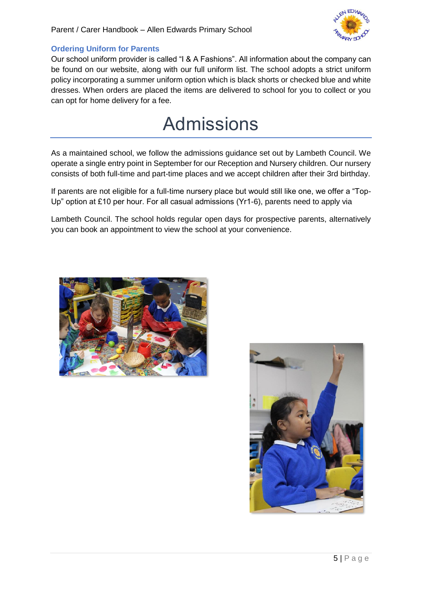

#### <span id="page-5-0"></span>**Ordering Uniform for Parents**

Our school uniform provider is called "I & A Fashions". All information about the company can be found on our website, along with our full uniform list. The school adopts a strict uniform policy incorporating a summer uniform option which is black shorts or checked blue and white dresses. When orders are placed the items are delivered to school for you to collect or you can opt for home delivery for a fee.

### Admissions

<span id="page-5-1"></span>As a maintained school, we follow the admissions guidance set out by Lambeth Council. We operate a single entry point in September for our Reception and Nursery children. Our nursery consists of both full-time and part-time places and we accept children after their 3rd birthday.

If parents are not eligible for a full-time nursery place but would still like one, we offer a "Top-Up" option at £10 per hour. For all casual admissions (Yr1-6), parents need to apply via

Lambeth Council. The school holds regular open days for prospective parents, alternatively you can book an appointment to view the school at your convenience.



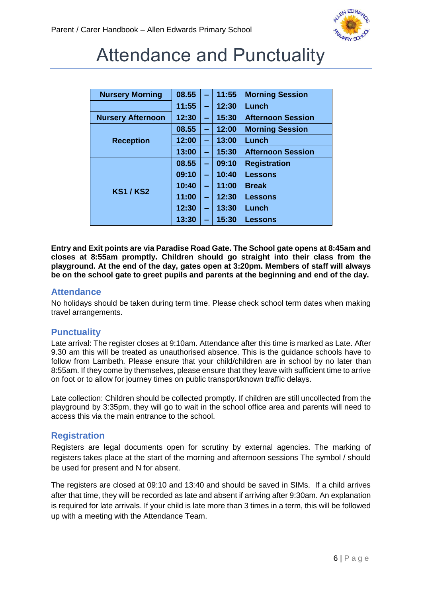

### <span id="page-6-0"></span>Attendance and Punctuality

| <b>Nursery Morning</b>   | 08.55 | $\overline{\phantom{0}}$ | 11:55 | <b>Morning Session</b>   |
|--------------------------|-------|--------------------------|-------|--------------------------|
|                          | 11:55 | -                        | 12:30 | Lunch                    |
| <b>Nursery Afternoon</b> | 12:30 | $\overline{\phantom{0}}$ | 15:30 | <b>Afternoon Session</b> |
| <b>Reception</b>         | 08.55 | ÷                        | 12:00 | <b>Morning Session</b>   |
|                          | 12:00 | $\overline{\phantom{0}}$ | 13:00 | Lunch                    |
|                          | 13:00 | $\overline{\phantom{0}}$ | 15:30 | <b>Afternoon Session</b> |
| <b>KS1/KS2</b>           | 08.55 | ÷                        | 09:10 | <b>Registration</b>      |
|                          | 09:10 | $\equiv$                 | 10:40 | <b>Lessons</b>           |
|                          | 10:40 | -                        | 11:00 | <b>Break</b>             |
|                          | 11:00 | $\overline{\phantom{0}}$ | 12:30 | <b>Lessons</b>           |
|                          | 12:30 | $\equiv$                 | 13:30 | Lunch                    |
|                          | 13:30 | $\equiv$                 | 15:30 | Lessons                  |

**Entry and Exit points are via Paradise Road Gate. The School gate opens at 8:45am and closes at 8:55am promptly. Children should go straight into their class from the playground. At the end of the day, gates open at 3:20pm. Members of staff will always be on the school gate to greet pupils and parents at the beginning and end of the day.** 

#### <span id="page-6-1"></span>**Attendance**

No holidays should be taken during term time. Please check school term dates when making travel arrangements.

#### <span id="page-6-2"></span>**Punctuality**

Late arrival: The register closes at 9:10am. Attendance after this time is marked as Late. After 9.30 am this will be treated as unauthorised absence. This is the guidance schools have to follow from Lambeth. Please ensure that your child/children are in school by no later than 8:55am. If they come by themselves, please ensure that they leave with sufficient time to arrive on foot or to allow for journey times on public transport/known traffic delays.

Late collection: Children should be collected promptly. If children are still uncollected from the playground by 3:35pm, they will go to wait in the school office area and parents will need to access this via the main entrance to the school.

#### <span id="page-6-3"></span>**Registration**

Registers are legal documents open for scrutiny by external agencies. The marking of registers takes place at the start of the morning and afternoon sessions The symbol / should be used for present and N for absent.

The registers are closed at 09:10 and 13:40 and should be saved in SIMs. If a child arrives after that time, they will be recorded as late and absent if arriving after 9:30am. An explanation is required for late arrivals. If your child is late more than 3 times in a term, this will be followed up with a meeting with the Attendance Team.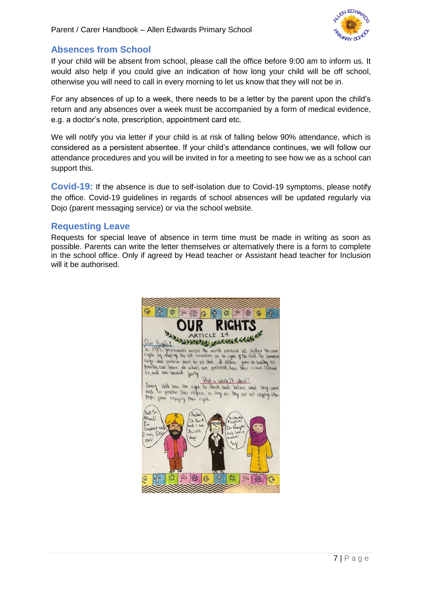

#### <span id="page-7-0"></span>**Absences from School**

If your child will be absent from school, please call the office before 9:00 am to inform us. It would also help if you could give an indication of how long your child will be off school, otherwise you will need to call in every morning to let us know that they will not be in.

For any absences of up to a week, there needs to be a letter by the parent upon the child's return and any absences over a week must be accompanied by a form of medical evidence, e.g. a doctor's note, prescription, appointment card etc.

We will notify you via letter if your child is at risk of falling below 90% attendance, which is considered as a persistent absentee. If your child's attendance continues, we will follow our attendance procedures and you will be invited in for a meeting to see how we as a school can support this.

**Covid-19:** If the absence is due to self-isolation due to Covid-19 symptoms, please notify the office. Covid-19 guidelines in regards of school absences will be updated regularly via Dojo (parent messaging service) or via the school website.

#### <span id="page-7-1"></span>**Requesting Leave**

Requests for special leave of absence in term time must be made in writing as soon as possible. Parents can write the letter themselves or alternatively there is a form to complete in the school office. Only if agreed by Head teacher or Assistant head teacher for Inclusion will it be authorised.

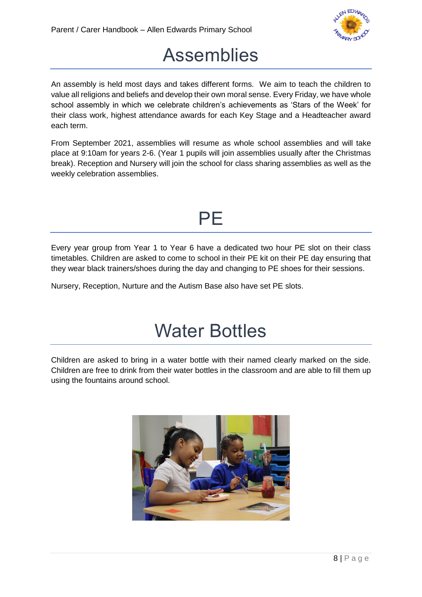

### Assemblies

<span id="page-8-0"></span>An assembly is held most days and takes different forms. We aim to teach the children to value all religions and beliefs and develop their own moral sense. Every Friday, we have whole school assembly in which we celebrate children's achievements as 'Stars of the Week' for their class work, highest attendance awards for each Key Stage and a Headteacher award each term.

From September 2021, assemblies will resume as whole school assemblies and will take place at 9:10am for years 2-6. (Year 1 pupils will join assemblies usually after the Christmas break). Reception and Nursery will join the school for class sharing assemblies as well as the weekly celebration assemblies.



<span id="page-8-1"></span>Every year group from Year 1 to Year 6 have a dedicated two hour PE slot on their class timetables. Children are asked to come to school in their PE kit on their PE day ensuring that they wear black trainers/shoes during the day and changing to PE shoes for their sessions.

Nursery, Reception, Nurture and the Autism Base also have set PE slots.

### Water Bottles

<span id="page-8-2"></span>Children are asked to bring in a water bottle with their named clearly marked on the side. Children are free to drink from their water bottles in the classroom and are able to fill them up using the fountains around school.

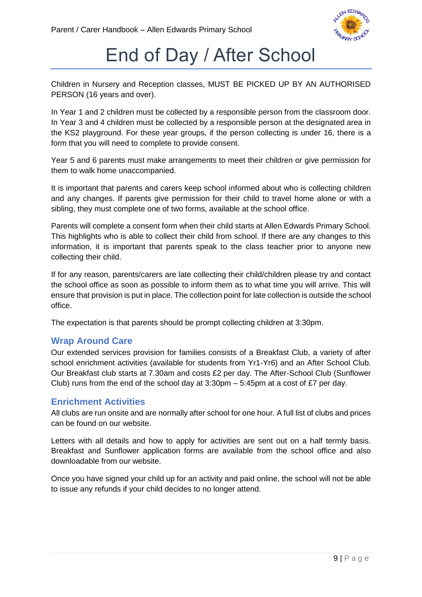

### End of Day / After School

<span id="page-9-0"></span>Children in Nursery and Reception classes, MUST BE PICKED UP BY AN AUTHORISED PERSON (16 years and over).

In Year 1 and 2 children must be collected by a responsible person from the classroom door. In Year 3 and 4 children must be collected by a responsible person at the designated area in the KS2 playground. For these year groups, if the person collecting is under 16, there is a form that you will need to complete to provide consent.

Year 5 and 6 parents must make arrangements to meet their children or give permission for them to walk home unaccompanied.

It is important that parents and carers keep school informed about who is collecting children and any changes. If parents give permission for their child to travel home alone or with a sibling, they must complete one of two forms, available at the school office.

Parents will complete a consent form when their child starts at Allen Edwards Primary School. This highlights who is able to collect their child from school. If there are any changes to this information, it is important that parents speak to the class teacher prior to anyone new collecting their child.

If for any reason, parents/carers are late collecting their child/children please try and contact the school office as soon as possible to inform them as to what time you will arrive. This will ensure that provision is put in place. The collection point for late collection is outside the school office.

The expectation is that parents should be prompt collecting children at 3:30pm.

#### <span id="page-9-1"></span>**Wrap Around Care**

Our extended services provision for families consists of a Breakfast Club, a variety of after school enrichment activities (available for students from Yr1-Yr6) and an After School Club. Our Breakfast club starts at 7.30am and costs £2 per day. The After-School Club (Sunflower Club) runs from the end of the school day at  $3:30 \text{pm} - 5:45 \text{pm}$  at a cost of £7 per day.

#### <span id="page-9-2"></span>**Enrichment Activities**

All clubs are run onsite and are normally after school for one hour. A full list of clubs and prices can be found on our website.

Letters with all details and how to apply for activities are sent out on a half termly basis. Breakfast and Sunflower application forms are available from the school office and also downloadable from our website.

Once you have signed your child up for an activity and paid online, the school will not be able to issue any refunds if your child decides to no longer attend.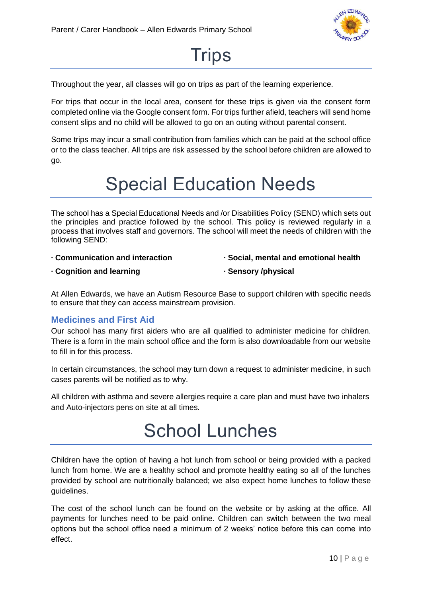

### **Trips**

<span id="page-10-0"></span>Throughout the year, all classes will go on trips as part of the learning experience.

For trips that occur in the local area, consent for these trips is given via the consent form completed online via the Google consent form. For trips further afield, teachers will send home consent slips and no child will be allowed to go on an outing without parental consent.

Some trips may incur a small contribution from families which can be paid at the school office or to the class teacher. All trips are risk assessed by the school before children are allowed to go.

### Special Education Needs

<span id="page-10-1"></span>The school has a Special Educational Needs and /or Disabilities Policy (SEND) which sets out the principles and practice followed by the school. This policy is reviewed regularly in a process that involves staff and governors. The school will meet the needs of children with the following SEND:

- **∙ Communication and interaction**
- **∙ Social, mental and emotional health**

**∙ Cognition and learning** 

**∙ Sensory /physical**

At Allen Edwards, we have an Autism Resource Base to support children with specific needs to ensure that they can access mainstream provision.

#### <span id="page-10-2"></span>**Medicines and First Aid**

Our school has many first aiders who are all qualified to administer medicine for children. There is a form in the main school office and the form is also downloadable from our website to fill in for this process.

In certain circumstances, the school may turn down a request to administer medicine, in such cases parents will be notified as to why.

<span id="page-10-3"></span>All children with asthma and severe allergies require a care plan and must have two inhalers and Auto-injectors pens on site at all times.

### School Lunches

Children have the option of having a hot lunch from school or being provided with a packed lunch from home. We are a healthy school and promote healthy eating so all of the lunches provided by school are nutritionally balanced; we also expect home lunches to follow these guidelines.

The cost of the school lunch can be found on the website or by asking at the office. All payments for lunches need to be paid online. Children can switch between the two meal options but the school office need a minimum of 2 weeks' notice before this can come into effect.